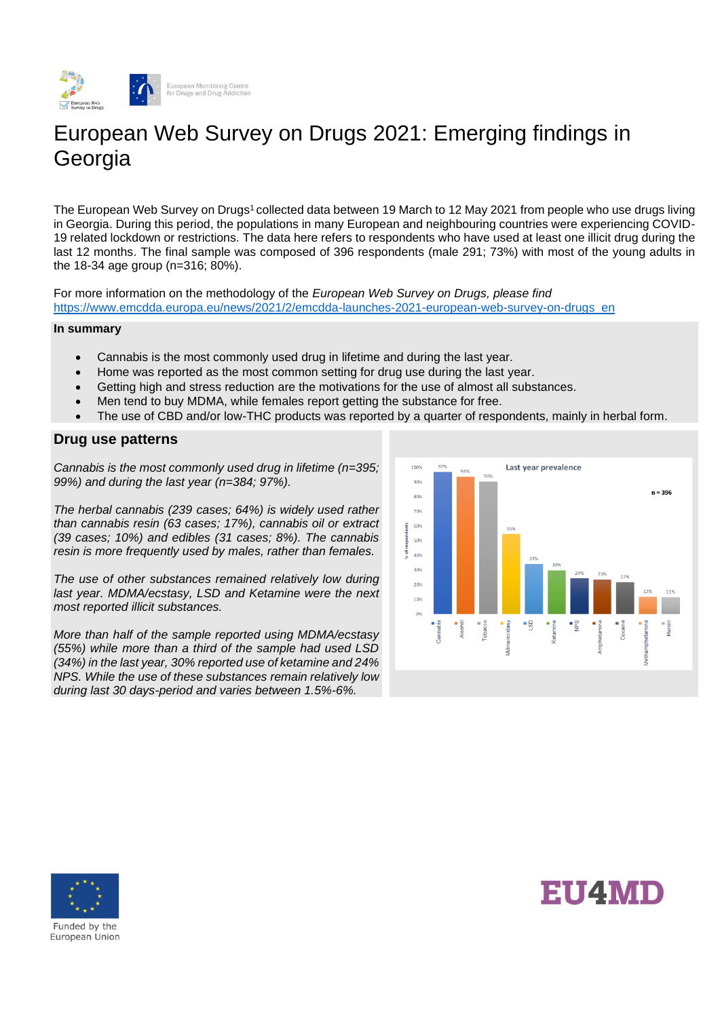

# European Web Survey on Drugs 2021: Emerging findings in **Georgia**

The European Web Survey on Drugs<sup>1</sup> collected data between 19 March to 12 May 2021 from people who use drugs living in Georgia. During this period, the populations in many European and neighbouring countries were experiencing COVID-19 related lockdown or restrictions. The data here refers to respondents who have used at least one illicit drug during the last 12 months. The final sample was composed of 396 respondents (male 291; 73%) with most of the young adults in the 18-34 age group (n=316; 80%).

For more information on the methodology of the *European Web Survey on Drugs, please find*  [https://www.emcdda.europa.eu/news/2021/2/emcdda-launches-2021-european-web-survey-on-drugs\\_en](https://www.emcdda.europa.eu/news/2021/2/emcdda-launches-2021-european-web-survey-on-drugs_en)

#### **In summary**

- Cannabis is the most commonly used drug in lifetime and during the last year.
- Home was reported as the most common setting for drug use during the last year.
- Getting high and stress reduction are the motivations for the use of almost all substances.
- Men tend to buy MDMA, while females report getting the substance for free.
- The use of CBD and/or low-THC products was reported by a quarter of respondents, mainly in herbal form.

## **Drug use patterns**

*Cannabis is the most commonly used drug in lifetime (n=395; 99%) and during the last year (n=384; 97%).*

*The herbal cannabis (239 cases; 64%) is widely used rather than cannabis resin (63 cases; 17%), cannabis oil or extract (39 cases; 10%) and edibles (31 cases; 8%). The cannabis resin is more frequently used by males, rather than females.*

*The use of other substances remained relatively low during last year. MDMA/ecstasy, LSD and Ketamine were the next most reported illicit substances.* 

*More than half of the sample reported using MDMA/ecstasy (55%) while more than a third of the sample had used LSD (34%) in the last year, 30% reported use of ketamine and 24% NPS. While the use of these substances remain relatively low during last 30 days-period and varies between 1.5%-6%.* 







Funded by the European Union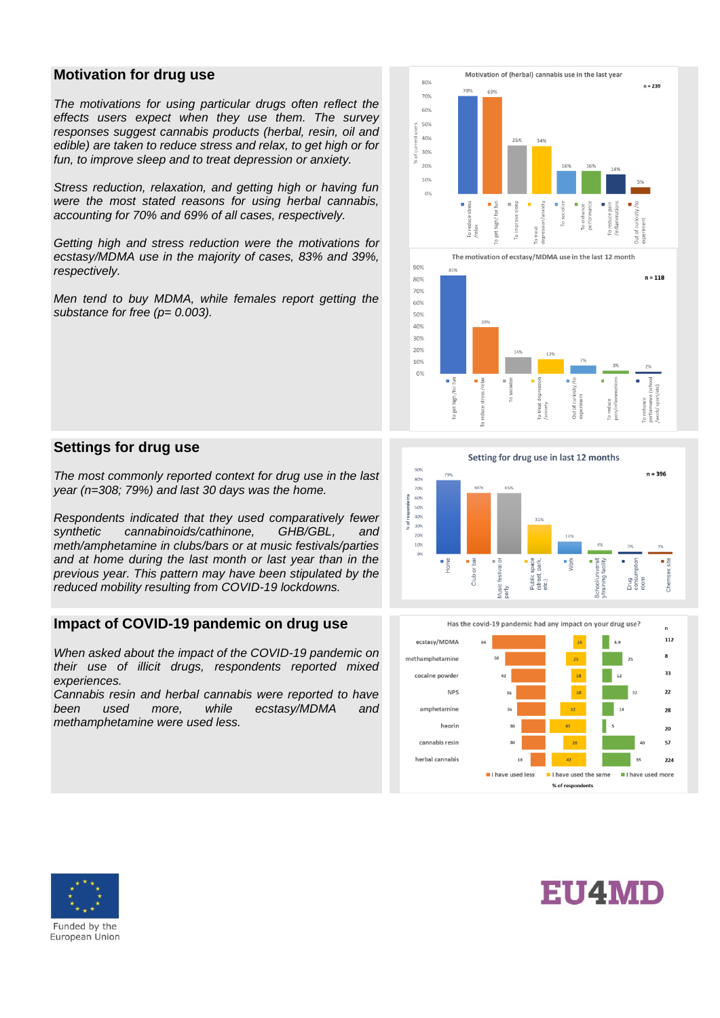### **Motivation for drug use**

*The motivations for using particular drugs often reflect the effects users expect when they use them. The survey responses suggest cannabis products (herbal, resin, oil and edible) are taken to reduce stress and relax, to get high or for fun, to improve sleep and to treat depression or anxiety.* 

*Stress reduction, relaxation, and getting high or having fun were the most stated reasons for using herbal cannabis, accounting for 70% and 69% of all cases, respectively.*

*Getting high and stress reduction were the motivations for ecstasy/MDMA use in the majority of cases, 83% and 39%, respectively.*

*Men tend to buy MDMA, while females report getting the substance for free (p= 0.003).* 





#### **Settings for drug use**

*The most commonly reported context for drug use in the last year (n=308; 79%) and last 30 days was the home.*

*Respondents indicated that they used comparatively fewer synthetic cannabinoids/cathinone, GHB/GBL, and meth/amphetamine in clubs/bars or at music festivals/parties and at home during the last month or last year than in the previous year. This pattern may have been stipulated by the reduced mobility resulting from COVID-19 lockdowns.*

# **Impact of COVID-19 pandemic on drug use**

*When asked about the impact of the COVID-19 pandemic on their use of illicit drugs, respondents reported mixed experiences.* 

*Cannabis resin and herbal cannabis were reported to have been used more, while ecstasy/MDMA and methamphetamine were used less.* 







**EU4MD** 

Funded by the